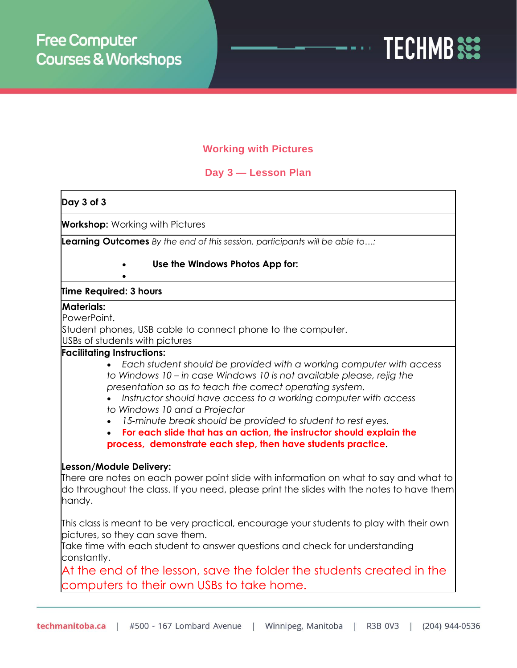

## **Working with Pictures**

## **Day 3 — Lesson Plan**

## **Day 3 of 3 Workshop:** Working with Pictures **Learning Outcomes** *By the end of this session, participants will be able to…:* • **Use the Windows Photos App for:** • **Time Required: 3 hours Materials:** PowerPoint. Student phones, USB cable to connect phone to the computer. USBs of students with pictures **Facilitating Instructions:** • *Each student should be provided with a working computer with access to Windows 10 – in case Windows 10 is not available please, rejig the presentation so as to teach the correct operating system.* • *Instructor should have access to a working computer with access to Windows 10 and a Projector* • *15-minute break should be provided to student to rest eyes.* • **For each slide that has an action, the instructor should explain the process, demonstrate each step, then have students practice. Lesson/Module Delivery:** There are notes on each power point slide with information on what to say and what to do throughout the class. If you need, please print the slides with the notes to have them handy. This class is meant to be very practical, encourage your students to play with their own pictures, so they can save them. Take time with each student to answer questions and check for understanding constantly. At the end of the lesson, save the folder the students created in the computers to their own USBs to take home.